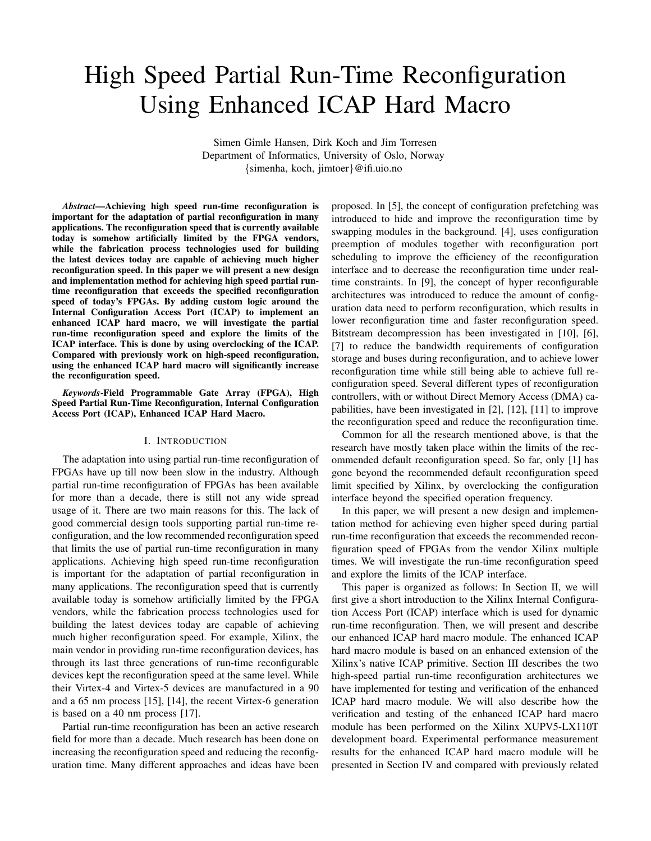# High Speed Partial Run-Time Reconfiguration Using Enhanced ICAP Hard Macro

Simen Gimle Hansen, Dirk Koch and Jim Torresen Department of Informatics, University of Oslo, Norway {simenha, koch, jimtoer}@ifi.uio.no

*Abstract*—Achieving high speed run-time reconfiguration is important for the adaptation of partial reconfiguration in many applications. The reconfiguration speed that is currently available today is somehow artificially limited by the FPGA vendors, while the fabrication process technologies used for building the latest devices today are capable of achieving much higher reconfiguration speed. In this paper we will present a new design and implementation method for achieving high speed partial runtime reconfiguration that exceeds the specified reconfiguration speed of today's FPGAs. By adding custom logic around the Internal Configuration Access Port (ICAP) to implement an enhanced ICAP hard macro, we will investigate the partial run-time reconfiguration speed and explore the limits of the ICAP interface. This is done by using overclocking of the ICAP. Compared with previously work on high-speed reconfiguration, using the enhanced ICAP hard macro will significantly increase the reconfiguration speed.

*Keywords*-Field Programmable Gate Array (FPGA), High Speed Partial Run-Time Reconfiguration, Internal Configuration Access Port (ICAP), Enhanced ICAP Hard Macro.

## I. INTRODUCTION

The adaptation into using partial run-time reconfiguration of FPGAs have up till now been slow in the industry. Although partial run-time reconfiguration of FPGAs has been available for more than a decade, there is still not any wide spread usage of it. There are two main reasons for this. The lack of good commercial design tools supporting partial run-time reconfiguration, and the low recommended reconfiguration speed that limits the use of partial run-time reconfiguration in many applications. Achieving high speed run-time reconfiguration is important for the adaptation of partial reconfiguration in many applications. The reconfiguration speed that is currently available today is somehow artificially limited by the FPGA vendors, while the fabrication process technologies used for building the latest devices today are capable of achieving much higher reconfiguration speed. For example, Xilinx, the main vendor in providing run-time reconfiguration devices, has through its last three generations of run-time reconfigurable devices kept the reconfiguration speed at the same level. While their Virtex-4 and Virtex-5 devices are manufactured in a 90 and a 65 nm process [15], [14], the recent Virtex-6 generation is based on a 40 nm process [17].

Partial run-time reconfiguration has been an active research field for more than a decade. Much research has been done on increasing the reconfiguration speed and reducing the reconfiguration time. Many different approaches and ideas have been proposed. In [5], the concept of configuration prefetching was introduced to hide and improve the reconfiguration time by swapping modules in the background. [4], uses configuration preemption of modules together with reconfiguration port scheduling to improve the efficiency of the reconfiguration interface and to decrease the reconfiguration time under realtime constraints. In [9], the concept of hyper reconfigurable architectures was introduced to reduce the amount of configuration data need to perform reconfiguration, which results in lower reconfiguration time and faster reconfiguration speed. Bitstream decompression has been investigated in [10], [6], [7] to reduce the bandwidth requirements of configuration storage and buses during reconfiguration, and to achieve lower reconfiguration time while still being able to achieve full reconfiguration speed. Several different types of reconfiguration controllers, with or without Direct Memory Access (DMA) capabilities, have been investigated in [2], [12], [11] to improve the reconfiguration speed and reduce the reconfiguration time.

Common for all the research mentioned above, is that the research have mostly taken place within the limits of the recommended default reconfiguration speed. So far, only [1] has gone beyond the recommended default reconfiguration speed limit specified by Xilinx, by overclocking the configuration interface beyond the specified operation frequency.

In this paper, we will present a new design and implementation method for achieving even higher speed during partial run-time reconfiguration that exceeds the recommended reconfiguration speed of FPGAs from the vendor Xilinx multiple times. We will investigate the run-time reconfiguration speed and explore the limits of the ICAP interface.

This paper is organized as follows: In Section II, we will first give a short introduction to the Xilinx Internal Configuration Access Port (ICAP) interface which is used for dynamic run-time reconfiguration. Then, we will present and describe our enhanced ICAP hard macro module. The enhanced ICAP hard macro module is based on an enhanced extension of the Xilinx's native ICAP primitive. Section III describes the two high-speed partial run-time reconfiguration architectures we have implemented for testing and verification of the enhanced ICAP hard macro module. We will also describe how the verification and testing of the enhanced ICAP hard macro module has been performed on the Xilinx XUPV5-LX110T development board. Experimental performance measurement results for the enhanced ICAP hard macro module will be presented in Section IV and compared with previously related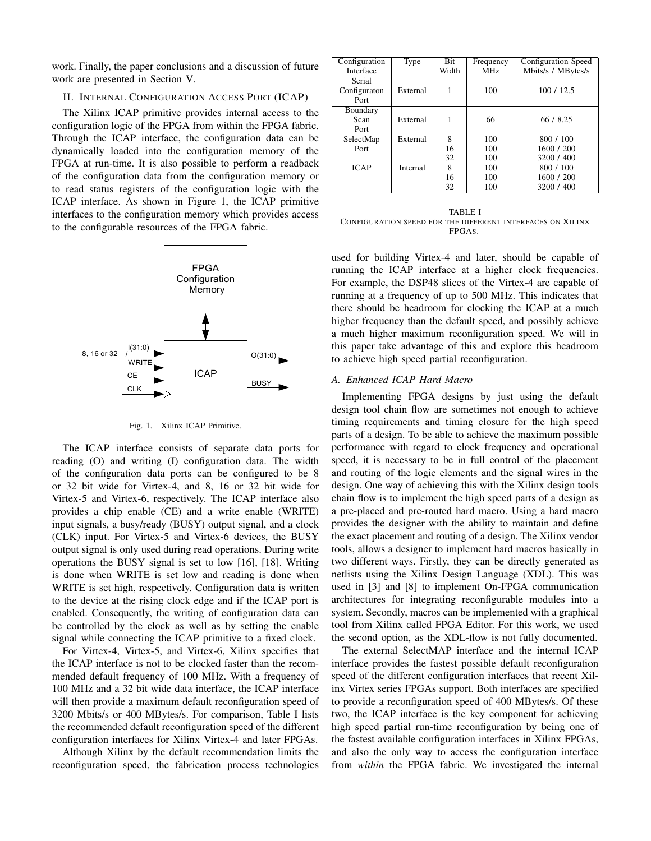work. Finally, the paper conclusions and a discussion of future work are presented in Section V.

#### II. INTERNAL CONFIGURATION ACCESS PORT (ICAP)

The Xilinx ICAP primitive provides internal access to the configuration logic of the FPGA from within the FPGA fabric. Through the ICAP interface, the configuration data can be dynamically loaded into the configuration memory of the FPGA at run-time. It is also possible to perform a readback of the configuration data from the configuration memory or to read status registers of the configuration logic with the ICAP interface. As shown in Figure 1, the ICAP primitive interfaces to the configuration memory which provides access to the configurable resources of the FPGA fabric.



Fig. 1. Xilinx ICAP Primitive.

The ICAP interface consists of separate data ports for reading (O) and writing (I) configuration data. The width of the configuration data ports can be configured to be 8 or 32 bit wide for Virtex-4, and 8, 16 or 32 bit wide for Virtex-5 and Virtex-6, respectively. The ICAP interface also provides a chip enable (CE) and a write enable (WRITE) input signals, a busy/ready (BUSY) output signal, and a clock (CLK) input. For Virtex-5 and Virtex-6 devices, the BUSY output signal is only used during read operations. During write operations the BUSY signal is set to low [16], [18]. Writing is done when WRITE is set low and reading is done when WRITE is set high, respectively. Configuration data is written to the device at the rising clock edge and if the ICAP port is enabled. Consequently, the writing of configuration data can be controlled by the clock as well as by setting the enable signal while connecting the ICAP primitive to a fixed clock.

For Virtex-4, Virtex-5, and Virtex-6, Xilinx specifies that the ICAP interface is not to be clocked faster than the recommended default frequency of 100 MHz. With a frequency of 100 MHz and a 32 bit wide data interface, the ICAP interface will then provide a maximum default reconfiguration speed of 3200 Mbits/s or 400 MBytes/s. For comparison, Table I lists the recommended default reconfiguration speed of the different configuration interfaces for Xilinx Virtex-4 and later FPGAs.

Although Xilinx by the default recommendation limits the reconfiguration speed, the fabrication process technologies

| Configuration | Type     | <b>Bit</b> | Frequency       | Configuration Speed |
|---------------|----------|------------|-----------------|---------------------|
| Interface     |          | Width      | MH <sub>z</sub> | Mbits/s / MBytes/s  |
| Serial        |          |            |                 |                     |
| Configuraton  | External |            | 100             | 100/12.5            |
| Port          |          |            |                 |                     |
| Boundary      |          |            |                 |                     |
| Scan          | External | 1          | 66              | 66/8.25             |
| Port          |          |            |                 |                     |
| SelectMap     | External | 8          | 100             | 800 / 100           |
| Port          |          | 16         | 100             | 1600 / 200          |
|               |          | 32         | 100             | 3200 / 400          |
| <b>ICAP</b>   | Internal | 8          | 100             | 800 / 100           |
|               |          | 16         | 100             | 1600 / 200          |
|               |          | 32         | 100             | 3200 / 400          |

TABLE I CONFIGURATION SPEED FOR THE DIFFERENT INTERFACES ON XILINX FPGAS.

used for building Virtex-4 and later, should be capable of running the ICAP interface at a higher clock frequencies. For example, the DSP48 slices of the Virtex-4 are capable of running at a frequency of up to 500 MHz. This indicates that there should be headroom for clocking the ICAP at a much higher frequency than the default speed, and possibly achieve a much higher maximum reconfiguration speed. We will in this paper take advantage of this and explore this headroom to achieve high speed partial reconfiguration.

## *A. Enhanced ICAP Hard Macro*

Implementing FPGA designs by just using the default design tool chain flow are sometimes not enough to achieve timing requirements and timing closure for the high speed parts of a design. To be able to achieve the maximum possible performance with regard to clock frequency and operational speed, it is necessary to be in full control of the placement and routing of the logic elements and the signal wires in the design. One way of achieving this with the Xilinx design tools chain flow is to implement the high speed parts of a design as a pre-placed and pre-routed hard macro. Using a hard macro provides the designer with the ability to maintain and define the exact placement and routing of a design. The Xilinx vendor tools, allows a designer to implement hard macros basically in two different ways. Firstly, they can be directly generated as netlists using the Xilinx Design Language (XDL). This was used in [3] and [8] to implement On-FPGA communication architectures for integrating reconfigurable modules into a system. Secondly, macros can be implemented with a graphical tool from Xilinx called FPGA Editor. For this work, we used the second option, as the XDL-flow is not fully documented.

The external SelectMAP interface and the internal ICAP interface provides the fastest possible default reconfiguration speed of the different configuration interfaces that recent Xilinx Virtex series FPGAs support. Both interfaces are specified to provide a reconfiguration speed of 400 MBytes/s. Of these two, the ICAP interface is the key component for achieving high speed partial run-time reconfiguration by being one of the fastest available configuration interfaces in Xilinx FPGAs, and also the only way to access the configuration interface from *within* the FPGA fabric. We investigated the internal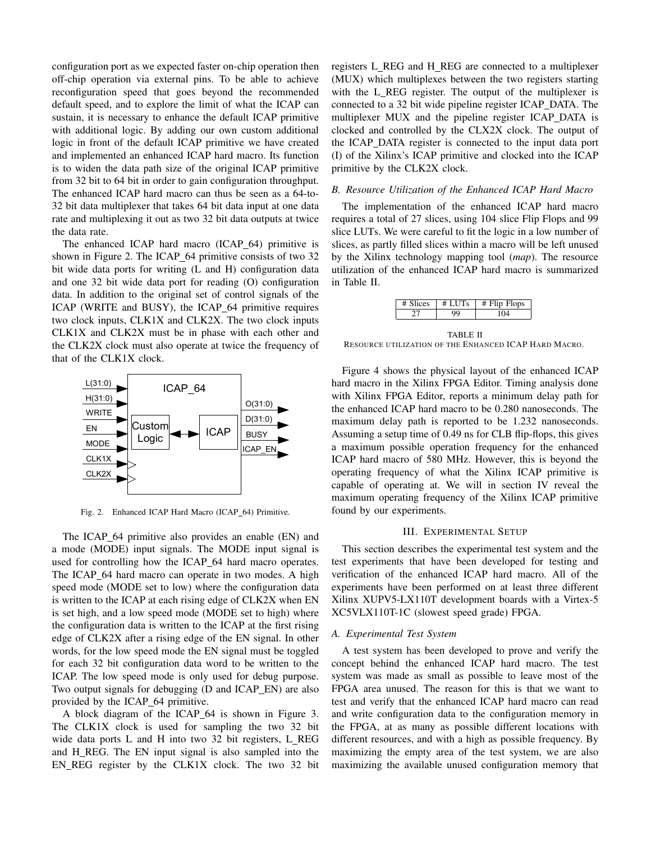configuration port as we expected faster on-chip operation then off-chip operation via external pins. To be able to achieve reconfiguration speed that goes beyond the recommended default speed, and to explore the limit of what the ICAP can sustain, it is necessary to enhance the default ICAP primitive with additional logic. By adding our own custom additional logic in front of the default ICAP primitive we have created and implemented an enhanced ICAP hard macro. Its function is to widen the data path size of the original ICAP primitive from 32 bit to 64 bit in order to gain configuration throughput. The enhanced ICAP hard macro can thus be seen as a 64-to-32 bit data multiplexer that takes 64 bit data input at one data rate and multiplexing it out as two 32 bit data outputs at twice the data rate.

The enhanced ICAP hard macro (ICAP\_64) primitive is shown in Figure 2. The ICAP\_64 primitive consists of two 32 bit wide data ports for writing (L and H) configuration data and one 32 bit wide data port for reading (O) configuration data. In addition to the original set of control signals of the ICAP (WRITE and BUSY), the ICAP\_64 primitive requires two clock inputs, CLK1X and CLK2X. The two clock inputs CLK1X and CLK2X must be in phase with each other and the CLK2X clock must also operate at twice the frequency of that of the CLK1X clock.



Fig. 2. Enhanced ICAP Hard Macro (ICAP\_64) Primitive.

The ICAP\_64 primitive also provides an enable (EN) and a mode (MODE) input signals. The MODE input signal is used for controlling how the ICAP 64 hard macro operates. The ICAP 64 hard macro can operate in two modes. A high speed mode (MODE set to low) where the configuration data is written to the ICAP at each rising edge of CLK2X when EN is set high, and a low speed mode (MODE set to high) where the configuration data is written to the ICAP at the first rising edge of CLK2X after a rising edge of the EN signal. In other words, for the low speed mode the EN signal must be toggled for each 32 bit configuration data word to be written to the ICAP. The low speed mode is only used for debug purpose. Two output signals for debugging (D and ICAP\_EN) are also provided by the ICAP\_64 primitive.

A block diagram of the ICAP 64 is shown in Figure 3. The CLK1X clock is used for sampling the two 32 bit wide data ports L and H into two 32 bit registers, L REG and H\_REG. The EN input signal is also sampled into the EN REG register by the CLK1X clock. The two 32 bit registers L REG and H REG are connected to a multiplexer (MUX) which multiplexes between the two registers starting with the L REG register. The output of the multiplexer is connected to a 32 bit wide pipeline register ICAP DATA. The multiplexer MUX and the pipeline register ICAP DATA is clocked and controlled by the CLX2X clock. The output of the ICAP DATA register is connected to the input data port (I) of the Xilinx's ICAP primitive and clocked into the ICAP primitive by the CLK2X clock.

#### *B. Resource Utilization of the Enhanced ICAP Hard Macro*

The implementation of the enhanced ICAP hard macro requires a total of 27 slices, using 104 slice Flip Flops and 99 slice LUTs. We were careful to fit the logic in a low number of slices, as partly filled slices within a macro will be left unused by the Xilinx technology mapping tool (*map*). The resource utilization of the enhanced ICAP hard macro is summarized in Table II.

| Гs<br>. | ns |
|---------|----|
|         |    |

TABLE II RESOURCE UTILIZATION OF THE ENHANCED ICAP HARD MACRO.

Figure 4 shows the physical layout of the enhanced ICAP hard macro in the Xilinx FPGA Editor. Timing analysis done with Xilinx FPGA Editor, reports a minimum delay path for the enhanced ICAP hard macro to be 0.280 nanoseconds. The maximum delay path is reported to be 1.232 nanoseconds. Assuming a setup time of 0.49 ns for CLB flip-flops, this gives a maximum possible operation frequency for the enhanced ICAP hard macro of 580 MHz. However, this is beyond the operating frequency of what the Xilinx ICAP primitive is capable of operating at. We will in section IV reveal the maximum operating frequency of the Xilinx ICAP primitive found by our experiments.

## III. EXPERIMENTAL SETUP

This section describes the experimental test system and the test experiments that have been developed for testing and verification of the enhanced ICAP hard macro. All of the experiments have been performed on at least three different Xilinx XUPV5-LX110T development boards with a Virtex-5 XC5VLX110T-1C (slowest speed grade) FPGA.

#### *A. Experimental Test System*

A test system has been developed to prove and verify the concept behind the enhanced ICAP hard macro. The test system was made as small as possible to leave most of the FPGA area unused. The reason for this is that we want to test and verify that the enhanced ICAP hard macro can read and write configuration data to the configuration memory in the FPGA, at as many as possible different locations with different resources, and with a high as possible frequency. By maximizing the empty area of the test system, we are also maximizing the available unused configuration memory that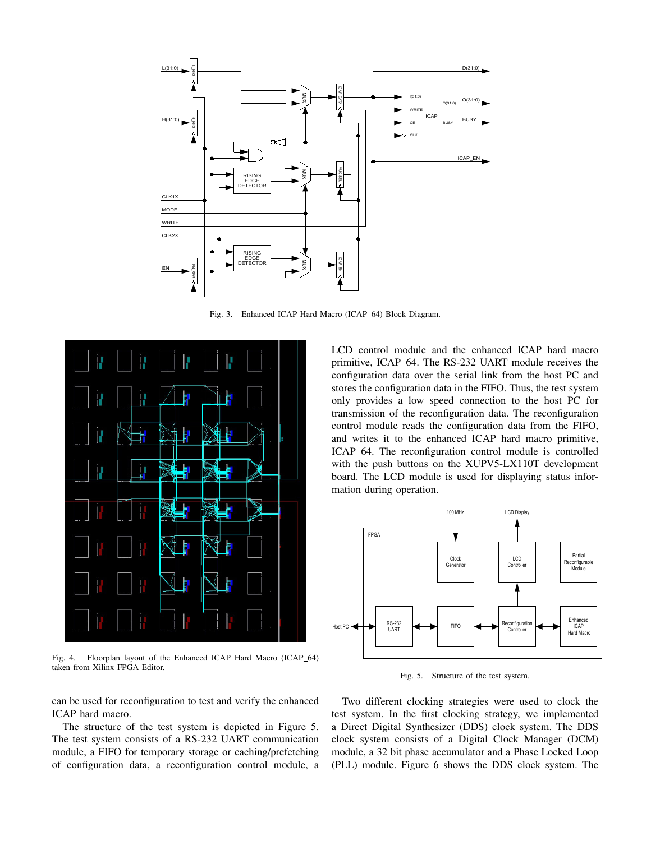

Fig. 3. Enhanced ICAP Hard Macro (ICAP 64) Block Diagram.



Fig. 4. Floorplan layout of the Enhanced ICAP Hard Macro (ICAP\_64) taken from Xilinx FPGA Editor.

can be used for reconfiguration to test and verify the enhanced ICAP hard macro.

The structure of the test system is depicted in Figure 5. The test system consists of a RS-232 UART communication module, a FIFO for temporary storage or caching/prefetching of configuration data, a reconfiguration control module, a LCD control module and the enhanced ICAP hard macro primitive, ICAP\_64. The RS-232 UART module receives the configuration data over the serial link from the host PC and stores the configuration data in the FIFO. Thus, the test system only provides a low speed connection to the host PC for transmission of the reconfiguration data. The reconfiguration control module reads the configuration data from the FIFO, and writes it to the enhanced ICAP hard macro primitive, ICAP 64. The reconfiguration control module is controlled with the push buttons on the XUPV5-LX110T development board. The LCD module is used for displaying status information during operation.



Fig. 5. Structure of the test system.

Two different clocking strategies were used to clock the test system. In the first clocking strategy, we implemented a Direct Digital Synthesizer (DDS) clock system. The DDS clock system consists of a Digital Clock Manager (DCM) module, a 32 bit phase accumulator and a Phase Locked Loop (PLL) module. Figure 6 shows the DDS clock system. The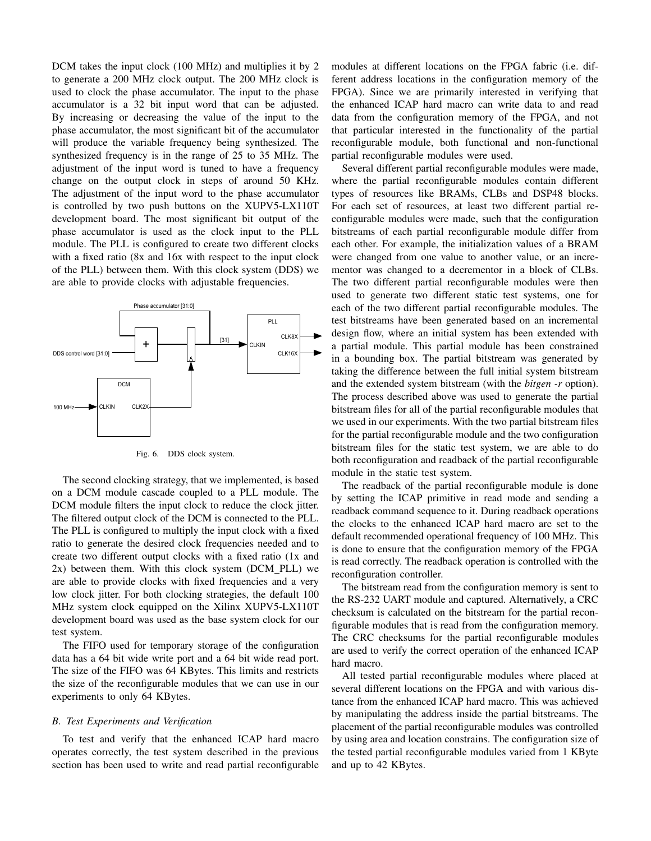DCM takes the input clock (100 MHz) and multiplies it by 2 to generate a 200 MHz clock output. The 200 MHz clock is used to clock the phase accumulator. The input to the phase accumulator is a 32 bit input word that can be adjusted. By increasing or decreasing the value of the input to the phase accumulator, the most significant bit of the accumulator will produce the variable frequency being synthesized. The synthesized frequency is in the range of 25 to 35 MHz. The adjustment of the input word is tuned to have a frequency change on the output clock in steps of around 50 KHz. The adjustment of the input word to the phase accumulator is controlled by two push buttons on the XUPV5-LX110T development board. The most significant bit output of the phase accumulator is used as the clock input to the PLL module. The PLL is configured to create two different clocks with a fixed ratio (8x and 16x with respect to the input clock of the PLL) between them. With this clock system (DDS) we are able to provide clocks with adjustable frequencies.



Fig. 6. DDS clock system.

The second clocking strategy, that we implemented, is based on a DCM module cascade coupled to a PLL module. The DCM module filters the input clock to reduce the clock jitter. The filtered output clock of the DCM is connected to the PLL. The PLL is configured to multiply the input clock with a fixed ratio to generate the desired clock frequencies needed and to create two different output clocks with a fixed ratio (1x and 2x) between them. With this clock system (DCM PLL) we are able to provide clocks with fixed frequencies and a very low clock jitter. For both clocking strategies, the default 100 MHz system clock equipped on the Xilinx XUPV5-LX110T development board was used as the base system clock for our test system.

The FIFO used for temporary storage of the configuration data has a 64 bit wide write port and a 64 bit wide read port. The size of the FIFO was 64 KBytes. This limits and restricts the size of the reconfigurable modules that we can use in our experiments to only 64 KBytes.

## *B. Test Experiments and Verification*

To test and verify that the enhanced ICAP hard macro operates correctly, the test system described in the previous section has been used to write and read partial reconfigurable modules at different locations on the FPGA fabric (i.e. different address locations in the configuration memory of the FPGA). Since we are primarily interested in verifying that the enhanced ICAP hard macro can write data to and read data from the configuration memory of the FPGA, and not that particular interested in the functionality of the partial reconfigurable module, both functional and non-functional partial reconfigurable modules were used.

Several different partial reconfigurable modules were made, where the partial reconfigurable modules contain different types of resources like BRAMs, CLBs and DSP48 blocks. For each set of resources, at least two different partial reconfigurable modules were made, such that the configuration bitstreams of each partial reconfigurable module differ from each other. For example, the initialization values of a BRAM were changed from one value to another value, or an incrementor was changed to a decrementor in a block of CLBs. The two different partial reconfigurable modules were then used to generate two different static test systems, one for each of the two different partial reconfigurable modules. The test bitstreams have been generated based on an incremental design flow, where an initial system has been extended with a partial module. This partial module has been constrained in a bounding box. The partial bitstream was generated by taking the difference between the full initial system bitstream and the extended system bitstream (with the *bitgen -r* option). The process described above was used to generate the partial bitstream files for all of the partial reconfigurable modules that we used in our experiments. With the two partial bitstream files for the partial reconfigurable module and the two configuration bitstream files for the static test system, we are able to do both reconfiguration and readback of the partial reconfigurable module in the static test system.

The readback of the partial reconfigurable module is done by setting the ICAP primitive in read mode and sending a readback command sequence to it. During readback operations the clocks to the enhanced ICAP hard macro are set to the default recommended operational frequency of 100 MHz. This is done to ensure that the configuration memory of the FPGA is read correctly. The readback operation is controlled with the reconfiguration controller.

The bitstream read from the configuration memory is sent to the RS-232 UART module and captured. Alternatively, a CRC checksum is calculated on the bitstream for the partial reconfigurable modules that is read from the configuration memory. The CRC checksums for the partial reconfigurable modules are used to verify the correct operation of the enhanced ICAP hard macro.

All tested partial reconfigurable modules where placed at several different locations on the FPGA and with various distance from the enhanced ICAP hard macro. This was achieved by manipulating the address inside the partial bitstreams. The placement of the partial reconfigurable modules was controlled by using area and location constrains. The configuration size of the tested partial reconfigurable modules varied from 1 KByte and up to 42 KBytes.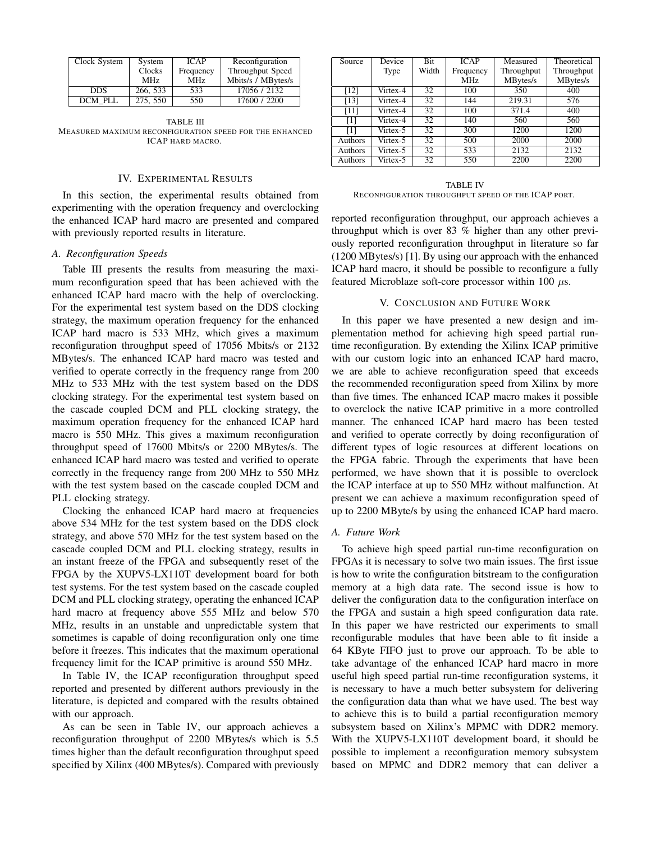| Clock System | System   | <b>ICAP</b> | Reconfiguration    |
|--------------|----------|-------------|--------------------|
|              | Clocks   | Frequency   | Throughput Speed   |
|              | MHz.     | MHz         | Mbits/s / MBytes/s |
| <b>DDS</b>   | 266, 533 | 533         | 17056 / 2132       |
| DCM PLL      | 275, 550 | 550         | 17600 / 2200       |

TABLE III MEASURED MAXIMUM RECONFIGURATION SPEED FOR THE ENHANCED ICAP HARD MACRO.

#### IV. EXPERIMENTAL RESULTS

In this section, the experimental results obtained from experimenting with the operation frequency and overclocking the enhanced ICAP hard macro are presented and compared with previously reported results in literature.

## *A. Reconfiguration Speeds*

Table III presents the results from measuring the maximum reconfiguration speed that has been achieved with the enhanced ICAP hard macro with the help of overclocking. For the experimental test system based on the DDS clocking strategy, the maximum operation frequency for the enhanced ICAP hard macro is 533 MHz, which gives a maximum reconfiguration throughput speed of 17056 Mbits/s or 2132 MBytes/s. The enhanced ICAP hard macro was tested and verified to operate correctly in the frequency range from 200 MHz to 533 MHz with the test system based on the DDS clocking strategy. For the experimental test system based on the cascade coupled DCM and PLL clocking strategy, the maximum operation frequency for the enhanced ICAP hard macro is 550 MHz. This gives a maximum reconfiguration throughput speed of 17600 Mbits/s or 2200 MBytes/s. The enhanced ICAP hard macro was tested and verified to operate correctly in the frequency range from 200 MHz to 550 MHz with the test system based on the cascade coupled DCM and PLL clocking strategy.

Clocking the enhanced ICAP hard macro at frequencies above 534 MHz for the test system based on the DDS clock strategy, and above 570 MHz for the test system based on the cascade coupled DCM and PLL clocking strategy, results in an instant freeze of the FPGA and subsequently reset of the FPGA by the XUPV5-LX110T development board for both test systems. For the test system based on the cascade coupled DCM and PLL clocking strategy, operating the enhanced ICAP hard macro at frequency above 555 MHz and below 570 MHz, results in an unstable and unpredictable system that sometimes is capable of doing reconfiguration only one time before it freezes. This indicates that the maximum operational frequency limit for the ICAP primitive is around 550 MHz.

In Table IV, the ICAP reconfiguration throughput speed reported and presented by different authors previously in the literature, is depicted and compared with the results obtained with our approach.

As can be seen in Table IV, our approach achieves a reconfiguration throughput of 2200 MBytes/s which is 5.5 times higher than the default reconfiguration throughput speed specified by Xilinx (400 MBytes/s). Compared with previously

| Source            | Device                        | Bit             | <b>ICAP</b> | Measured   | Theoretical |
|-------------------|-------------------------------|-----------------|-------------|------------|-------------|
|                   | Type                          | Width           | Frequency   | Throughput | Throughput  |
|                   |                               |                 | MHz.        | MBytes/s   | MBytes/s    |
| [12]              | Virtex-4                      | 32              | 100         | 350        | 400         |
| [13]              | Virtex-4                      | 32              | 144         | 219.31     | 576         |
| $[11]$            | Virtex-4                      | 32              | 100         | 371.4      | 400         |
| $\lceil 1 \rceil$ | Virtex-4                      | 32              | 140         | 560        | 560         |
| $\lceil 1 \rceil$ | $\overline{\text{V}}$ irtex-5 | 32              | 300         | 1200       | 1200        |
| Authors           | Virtex-5                      | 32              | 500         | 2000       | 2000        |
| Authors           | Virtex-5                      | $\overline{32}$ | 533         | 2132       | 2132        |
| Authors           | Virtex-5                      | 32              | 550         | 2200       | 2200        |

TABLE IV RECONFIGURATION THROUGHPUT SPEED OF THE ICAP PORT.

reported reconfiguration throughput, our approach achieves a throughput which is over 83 % higher than any other previously reported reconfiguration throughput in literature so far (1200 MBytes/s) [1]. By using our approach with the enhanced ICAP hard macro, it should be possible to reconfigure a fully featured Microblaze soft-core processor within 100  $\mu$ s.

## V. CONCLUSION AND FUTURE WORK

In this paper we have presented a new design and implementation method for achieving high speed partial runtime reconfiguration. By extending the Xilinx ICAP primitive with our custom logic into an enhanced ICAP hard macro, we are able to achieve reconfiguration speed that exceeds the recommended reconfiguration speed from Xilinx by more than five times. The enhanced ICAP macro makes it possible to overclock the native ICAP primitive in a more controlled manner. The enhanced ICAP hard macro has been tested and verified to operate correctly by doing reconfiguration of different types of logic resources at different locations on the FPGA fabric. Through the experiments that have been performed, we have shown that it is possible to overclock the ICAP interface at up to 550 MHz without malfunction. At present we can achieve a maximum reconfiguration speed of up to 2200 MByte/s by using the enhanced ICAP hard macro.

## *A. Future Work*

To achieve high speed partial run-time reconfiguration on FPGAs it is necessary to solve two main issues. The first issue is how to write the configuration bitstream to the configuration memory at a high data rate. The second issue is how to deliver the configuration data to the configuration interface on the FPGA and sustain a high speed configuration data rate. In this paper we have restricted our experiments to small reconfigurable modules that have been able to fit inside a 64 KByte FIFO just to prove our approach. To be able to take advantage of the enhanced ICAP hard macro in more useful high speed partial run-time reconfiguration systems, it is necessary to have a much better subsystem for delivering the configuration data than what we have used. The best way to achieve this is to build a partial reconfiguration memory subsystem based on Xilinx's MPMC with DDR2 memory. With the XUPV5-LX110T development board, it should be possible to implement a reconfiguration memory subsystem based on MPMC and DDR2 memory that can deliver a